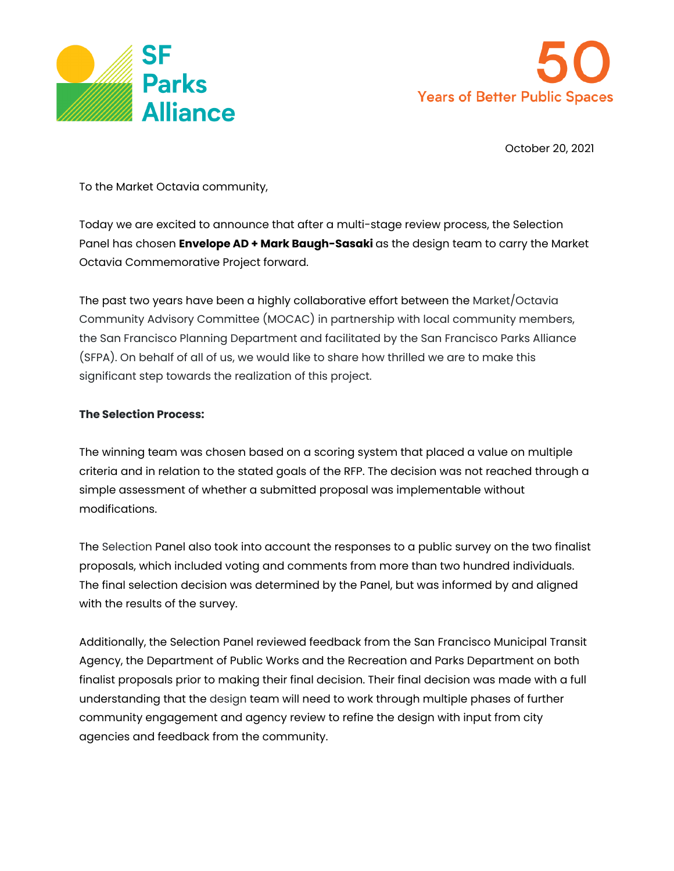



October 20, 2021

To the Market Octavia community,

Today we are excited to announce that after a multi-stage review process, the Selection Panel has chosen **Envelope AD + Mark Baugh-Sasaki** as the design team to carry the Market Octavia Commemorative Project forward.

The past two years have been a highly collaborative effort between the Market/Octavia Community Advisory Committee (MOCAC) in partnership with local community members, the San Francisco Planning Department and facilitated by the San Francisco Parks Alliance (SFPA). On behalf of all of us, we would like to share how thrilled we are to make this significant step towards the realization of this project.

## **The Selection Process:**

The winning team was chosen based on a scoring system that placed a value on multiple criteria and in relation to the stated goals of the RFP. The decision was not reached through a simple assessment of whether a submitted proposal was implementable without modifications.

The Selection Panel also took into account the responses to a public survey on the two finalist proposals, which included voting and comments from more than two hundred individuals. The final selection decision was determined by the Panel, but was informed by and aligned with the results of the survey.

Additionally, the Selection Panel reviewed feedback from the San Francisco Municipal Transit Agency, the Department of Public Works and the Recreation and Parks Department on both finalist proposals prior to making their final decision. Their final decision was made with a full understanding that the design team will need to work through multiple phases of further community engagement and agency review to refine the design with input from city agencies and feedback from the community.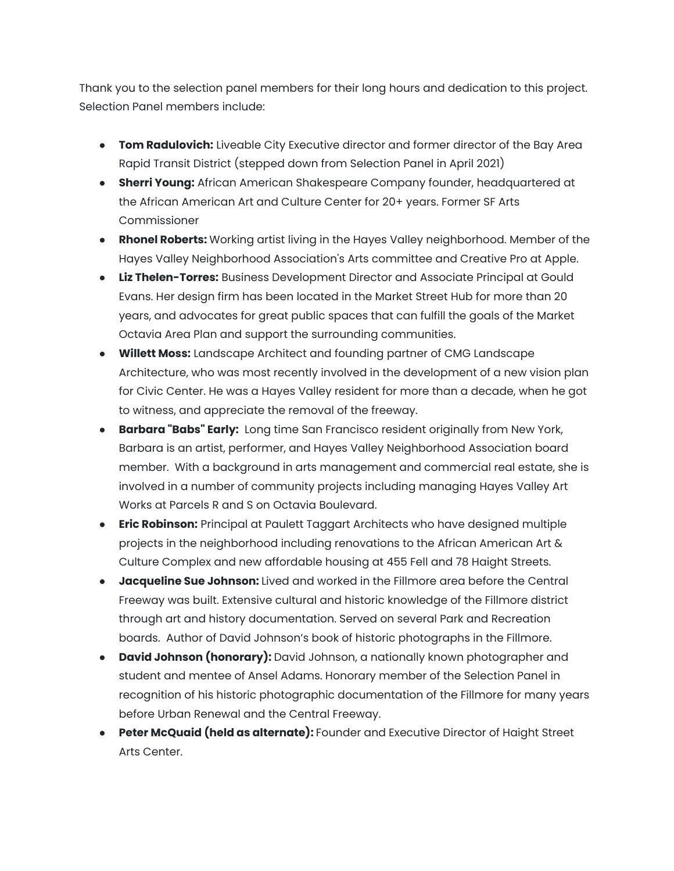Thank you to the selection panel members for their long hours and dedication to this project. Selection Panel members include:

- **Tom Radulovich:** Liveable City Executive director and former director of the Bay Area Rapid Transit District (stepped down from Selection Panel in April 2021)
- **Sherri Young:** African American Shakespeare Company founder, headquartered at the African American Art and Culture Center for 20+ years. Former SF Arts Commissioner
- **Rhonel Roberts:** Working artist living in the Hayes Valley neighborhood. Member of the Hayes Valley Neighborhood Association's Arts committee and Creative Pro at Apple.
- **Liz Thelen-Torres:** Business Development Director and Associate Principal at Gould Evans. Her design firm has been located in the Market Street Hub for more than 20 years, and advocates for great public spaces that can fulfill the goals of the Market Octavia Area Plan and support the surrounding communities.
- **Willett Moss:** Landscape Architect and founding partner of CMG Landscape Architecture, who was most recently involved in the development of a new vision plan for Civic Center. He was a Hayes Valley resident for more than a decade, when he got to witness, and appreciate the removal of the freeway.
- **Barbara "Babs" Early:** Long time San Francisco resident originally from New York, Barbara is an artist, performer, and Hayes Valley Neighborhood Association board member. With a background in arts management and commercial real estate, she is involved in a number of community projects including managing Hayes Valley Art Works at Parcels R and S on Octavia Boulevard.
- **Eric Robinson:** Principal at Paulett Taggart Architects who have designed multiple projects in the neighborhood including renovations to the African American Art & Culture Complex and new affordable housing at 455 Fell and 78 Haight Streets.
- **Jacqueline Sue Johnson:** Lived and worked in the Fillmore area before the Central Freeway was built. Extensive cultural and historic knowledge of the Fillmore district through art and history documentation. Served on several Park and Recreation boards. Author of David Johnson's book of historic photographs in the Fillmore.
- **David Johnson (honorary):** David Johnson, a nationally known photographer and student and mentee of Ansel Adams. Honorary member of the Selection Panel in recognition of his historic photographic documentation of the Fillmore for many years before Urban Renewal and the Central Freeway.
- **Peter McQuaid (held as alternate):** Founder and Executive Director of Haight Street Arts Center.